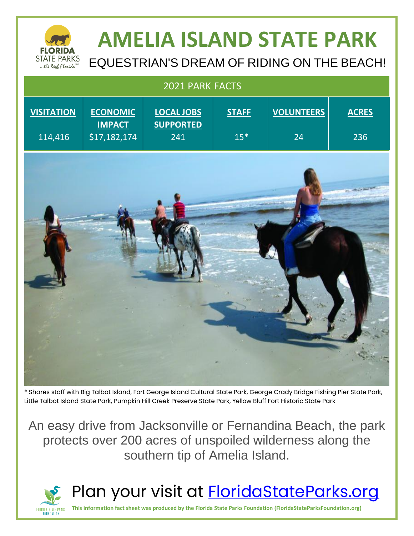

# **AMELIA ISLAND STATE PARK**

EQUESTRIAN'S DREAM OF RIDING ON THE BEACH!

| 2021 PARK FACTS              |                                                  |                                              |                       |                         |                     |
|------------------------------|--------------------------------------------------|----------------------------------------------|-----------------------|-------------------------|---------------------|
| <b>VISITATION</b><br>114,416 | <b>ECONOMIC</b><br><b>IMPACT</b><br>\$17,182,174 | <b>LOCAL JOBS</b><br><b>SUPPORTED</b><br>241 | <b>STAFF</b><br>$15*$ | <b>VOLUNTEERS</b><br>24 | <b>ACRES</b><br>236 |
|                              |                                                  |                                              |                       |                         |                     |

\* Shares staff with Big Talbot Island, Fort George Island Cultural State Park, George Crady Bridge Fishing Pier State Park, Little Talbot Island State Park, Pumpkin Hill Creek Preserve State Park, Yellow Bluff Fort Historic State Park

An easy drive from Jacksonville or Fernandina Beach, the park protects over 200 acres of unspoiled wilderness along the southern tip of Amelia Island.



### Plan your visit at **FloridaStateParks.org**

**This information fact sheet was produced by the Florida State Parks Foundation (FloridaStateParksFoundation.org)**